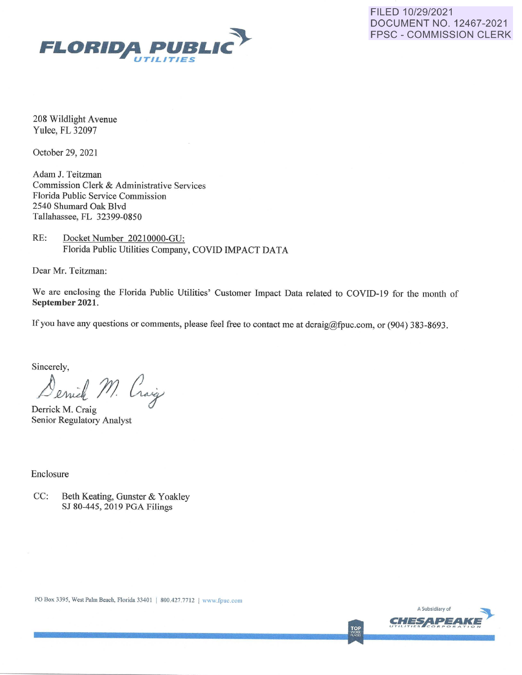



208 Wildlight Avenue Yulee, FL 32097

October 29, 2021

Adam J. Teitzman Commission Clerk & Administrative Services Florida Public Service Commission 2540 Shumard Oak Blvd Tallahassee, FL 32399-0850

RE: Docket Number 20210000-GU: Florida Public Utilities Company, COVID IMPACT DATA

Dear Mr. Teitzman:

We are enclosing the Florida Public Utilities' Customer Impact Data related to COVID-19 for the month of **September 2021.** 

If you have any questions or comments, please feel free to contact me at dcraig@fpuc.com, or (904) 383-8693.

Sincerely,

Denick M. Craig

Derrick M. Craig Senior Regulatory Analyst

Enclosure

CC: Beth Keating, Gunster & Yoakley SJ 80-445, 2019 PGA Filings



**TOP**<br>WORK